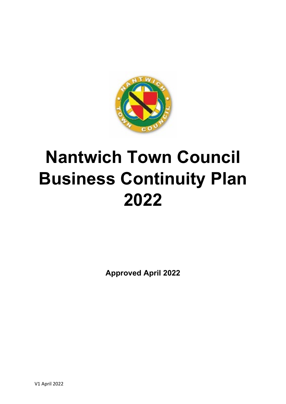

# **Nantwich Town Council Business Continuity Plan 2022**

**Approved April 2022**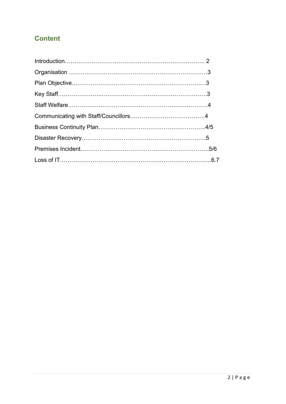# **Content**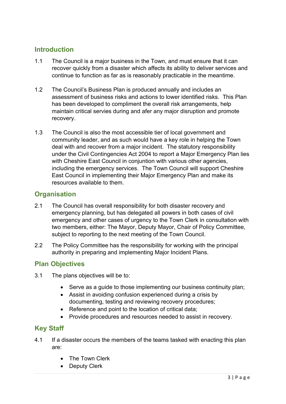## **Introduction**

- 1.1 The Council is a major business in the Town, and must ensure that it can recover quickly from a disaster which affects its ability to deliver services and continue to function as far as is reasonably practicable in the meantime.
- 1.2 The Council's Business Plan is produced annually and includes an assessment of business risks and actions to lower identified risks. This Plan has been developed to compliment the overall risk arrangements, help maintain critical servies during and afer any major disruption and promote recovery.
- 1.3 The Council is also the most accessible tier of local government and community leader, and as such would have a key role in helping the Town deal with and recover from a major incident. The statutory responsibility under the Civil Contingencies Act 2004 to report a Major Emergency Plan lies with Cheshire East Council in conjuntion with various other agencies. including the emergency services. The Town Council will support Cheshire East Council in implementing their Major Emergency Plan and make its resources available to them.

## **Organisation**

- 2.1 The Council has overall responsibility for both disaster recovery and emergency planning, but has delegated all powers in both cases of civil emergency and other cases of urgency to the Town Clerk in consultation with two members, either: The Mayor, Deputy Mayor, Chair of Policy Committee, subject to reporting to the next meeting of the Town Council.
- 2.2 The Policy Committee has the responsibility for working with the principal authority in preparing and implementing Major Incident Plans.

### **Plan Objectives**

- 3.1 The plans objectives will be to:
	- Serve as a quide to those implementing our business continuity plan:
	- Assist in avoiding confusion experienced during a crisis by documenting, testing and reviewing recovery procedures;
	- Reference and point to the location of critical data;
	- Provide procedures and resources needed to assist in recovery.

### **Key Staff**

- 4.1 If a disaster occurs the members of the teams tasked with enacting this plan are:
	- The Town Clerk
	- Deputy Clerk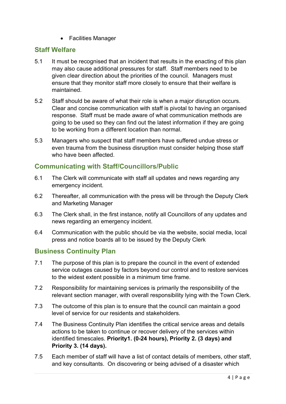• Facilities Manager

#### **Staff Welfare**

- 5.1 It must be recognised that an incident that results in the enacting of this plan may also cause additional pressures for staff. Staff members need to be given clear direction about the priorities of the council. Managers must ensure that they monitor staff more closely to ensure that their welfare is maintained.
- 5.2 Staff should be aware of what their role is when a major disruption occurs. Clear and concise communication with staff is pivotal to having an organised response. Staff must be made aware of what communication methods are going to be used so they can find out the latest information if they are going to be working from a different location than normal.
- 5.3 Managers who suspect that staff members have suffered undue stress or even trauma from the business disruption must consider helping those staff who have been affected.

### **Communicating with Staff/Councillors/Public**

- 6.1 The Clerk will communicate with staff all updates and news regarding any emergency incident.
- 6.2 Thereafter, all communication with the press will be through the Deputy Clerk and Marketing Manager
- 6.3 The Clerk shall, in the first instance, notify all Councillors of any updates and news regarding an emergency incident.
- 6.4 Communication with the public should be via the website, social media, local press and notice boards all to be issued by the Deputy Clerk

#### **Business Continuity Plan**

- 7.1 The purpose of this plan is to prepare the council in the event of extended service outages caused by factors beyond our control and to restore services to the widest extent possible in a minimum time frame.
- 7.2 Responsibility for maintaining services is primarily the responsibility of the relevant section manager, with overall responsibility lying with the Town Clerk.
- 7.3 The outcome of this plan is to ensure that the council can maintain a good level of service for our residents and stakeholders.
- 7.4 The Business Continuity Plan identifies the critical service areas and details actions to be taken to continue or recover delivery of the services within identified timescales. **Priority1. (0-24 hours), Priority 2. (3 days) and Priority 3. (14 days).**
- 7.5 Each member of staff will have a list of contact details of members, other staff, and key consultants. On discovering or being advised of a disaster which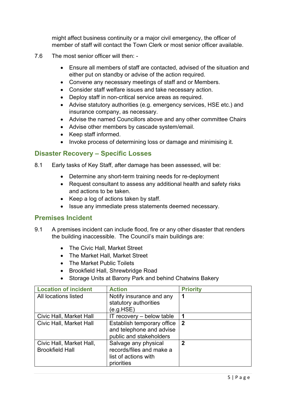might affect business continuity or a major civil emergency, the officer of member of staff will contact the Town Clerk or most senior officer available.

- 7.6 The most senior officer will then:
	- Ensure all members of staff are contacted, advised of the situation and either put on standby or advise of the action required.
	- Convene any necessary meetings of staff and or Members.
	- Consider staff welfare issues and take necessary action.
	- Deploy staff in non-critical service areas as required.
	- Advise statutory authorities (e.g. emergency services, HSE etc.) and insurance company, as necessary.
	- Advise the named Councillors above and any other committee Chairs
	- Advise other members by cascade system/email.
	- Keep staff informed.
	- Invoke process of determining loss or damage and minimising it.

#### **Disaster Recovery – Specific Losses**

- 8.1 Early tasks of Key Staff, after damage has been assessed, will be:
	- Determine any short-term training needs for re-deployment
	- Request consultant to assess any additional health and safety risks and actions to be taken.
	- Keep a log of actions taken by staff.
	- Issue any immediate press statements deemed necessary.

#### **Premises Incident**

- 9.1 A premises incident can include flood, fire or any other disaster that renders the building inaccessible. The Council's main buildings are:
	- The Civic Hall, Market Street
	- The Market Hall, Market Street
	- The Market Public Toilets
	- Brookfield Hall, Shrewbridge Road
	- Storage Units at Barony Park and behind Chatwins Bakery

| <b>Location of incident</b>                        | <b>Action</b>                                                            | <b>Priority</b> |
|----------------------------------------------------|--------------------------------------------------------------------------|-----------------|
| All locations listed                               | Notify insurance and any                                                 |                 |
|                                                    | statutory authorities<br>(e.g.HSE)                                       |                 |
| Civic Hall, Market Hall                            | $IT$ recovery $-$ below table                                            |                 |
| Civic Hall, Market Hall                            | Establish temporary office                                               | $\mathbf 2$     |
|                                                    | and telephone and advise<br>public and stakeholders                      |                 |
| Civic Hall, Market Hall,<br><b>Brookfield Hall</b> | Salvage any physical<br>records/files and make a<br>list of actions with | 2               |
|                                                    | priorities                                                               |                 |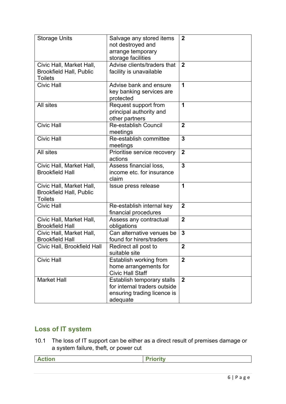| <b>Storage Units</b>                                                         | Salvage any stored items<br>not destroyed and<br>arrange temporary<br>storage facilities              | $\mathbf{2}$   |
|------------------------------------------------------------------------------|-------------------------------------------------------------------------------------------------------|----------------|
| Civic Hall, Market Hall,<br><b>Brookfield Hall, Public</b><br><b>Toilets</b> | Advise clients/traders that<br>facility is unavailable                                                | $\overline{2}$ |
| <b>Civic Hall</b>                                                            | Advise bank and ensure<br>key banking services are<br>protected                                       | 1              |
| All sites                                                                    | Request support from<br>principal authority and<br>other partners                                     | 1              |
| <b>Civic Hall</b>                                                            | <b>Re-establish Council</b><br>meetings                                                               | $\overline{2}$ |
| <b>Civic Hall</b>                                                            | Re-establish committee<br>meetings                                                                    | $\overline{3}$ |
| All sites                                                                    | Prioritise service recovery<br>actions                                                                | $\overline{2}$ |
| Civic Hall, Market Hall,<br><b>Brookfield Hall</b>                           | Assess financial loss,<br>income etc. for insurance<br>claim                                          | $\overline{3}$ |
| Civic Hall, Market Hall,<br><b>Brookfield Hall, Public</b><br><b>Toilets</b> | Issue press release                                                                                   | 1              |
| <b>Civic Hall</b>                                                            | Re-establish internal key<br>financial procedures                                                     | $\overline{2}$ |
| Civic Hall, Market Hall,<br><b>Brookfield Hall</b>                           | Assess any contractual<br>obligations                                                                 | $\overline{2}$ |
| Civic Hall, Market Hall,<br><b>Brookfield Hall</b>                           | Can alternative venues be<br>found for hirers/traders                                                 | $\mathbf{3}$   |
| Civic Hall, Brookfield Hall                                                  | Redirect all post to<br>suitable site                                                                 | $\overline{2}$ |
| <b>Civic Hall</b>                                                            | Establish working from<br>home arrangements for<br><b>Civic Hall Staff</b>                            | $\overline{2}$ |
| <b>Market Hall</b>                                                           | Establish temporary stalls<br>for internal traders outside<br>ensuring trading licence is<br>adequate | $\mathbf{2}$   |

# **Loss of IT system**

10.1 The loss of IT support can be either as a direct result of premises damage or a system failure, theft, or power cut

**Action Priority**